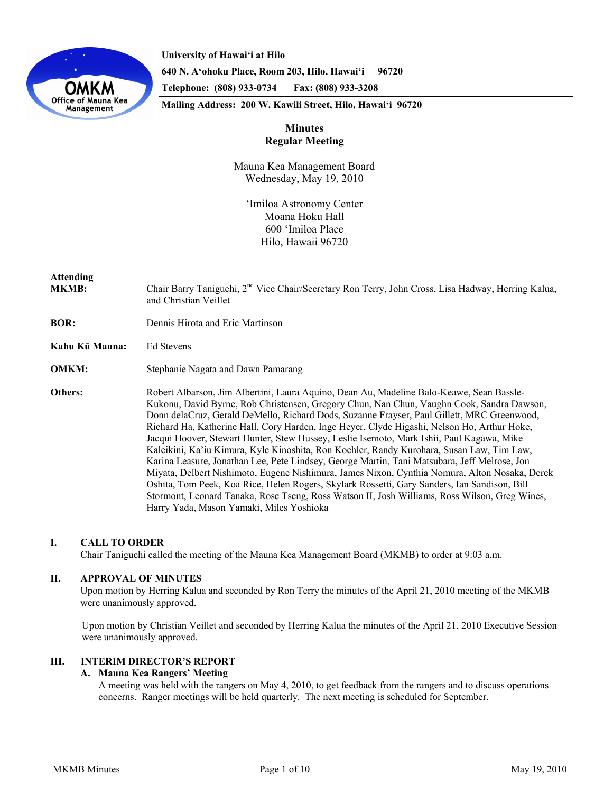

**University of Hawai'i at Hilo 640 N. A'ohoku Place, Room 203, Hilo, Hawai'i 96720 Telephone: (808) 933-0734 Fax: (808) 933-3208** 

**Mailing Address: 200 W. Kawili Street, Hilo, Hawai'i 96720** 

# **Minutes Regular Meeting**

Mauna Kea Management Board Wednesday, May 19, 2010

ʻImiloa Astronomy Center Moana Hoku Hall 600 ʻImiloa Place Hilo, Hawaii 96720

# **Attending**

MKMB: Chair Barry Taniguchi, 2<sup>nd</sup> Vice Chair/Secretary Ron Terry, John Cross, Lisa Hadway, Herring Kalua, and Christian Veillet

- **BOR:** Dennis Hirota and Eric Martinson
- **Kahu Kū Mauna:** Ed Stevens
- **OMKM:** Stephanie Nagata and Dawn Pamarang

**Others:** Robert Albarson, Jim Albertini, Laura Aquino, Dean Au, Madeline Balo-Keawe, Sean Bassle-Kukonu, David Byrne, Rob Christensen, Gregory Chun, Nan Chun, Vaughn Cook, Sandra Dawson, Donn delaCruz, Gerald DeMello, Richard Dods, Suzanne Frayser, Paul Gillett, MRC Greenwood, Richard Ha, Katherine Hall, Cory Harden, Inge Heyer, Clyde Higashi, Nelson Ho, Arthur Hoke, Jacqui Hoover, Stewart Hunter, Stew Hussey, Leslie Isemoto, Mark Ishii, Paul Kagawa, Mike Kaleikini, Ka'iu Kimura, Kyle Kinoshita, Ron Koehler, Randy Kurohara, Susan Law, Tim Law, Karina Leasure, Jonathan Lee, Pete Lindsey, George Martin, Tani Matsubara, Jeff Melrose, Jon Miyata, Delbert Nishimoto, Eugene Nishimura, James Nixon, Cynthia Nomura, Alton Nosaka, Derek Oshita, Tom Peek, Koa Rice, Helen Rogers, Skylark Rossetti, Gary Sanders, Ian Sandison, Bill Stormont, Leonard Tanaka, Rose Tseng, Ross Watson II, Josh Williams, Ross Wilson, Greg Wines, Harry Yada, Mason Yamaki, Miles Yoshioka

### **I. CALL TO ORDER**

Chair Taniguchi called the meeting of the Mauna Kea Management Board (MKMB) to order at 9:03 a.m.

### **II. APPROVAL OF MINUTES**

Upon motion by Herring Kalua and seconded by Ron Terry the minutes of the April 21, 2010 meeting of the MKMB were unanimously approved.

Upon motion by Christian Veillet and seconded by Herring Kalua the minutes of the April 21, 2010 Executive Session were unanimously approved.

### **III. INTERIM DIRECTOR'S REPORT**

### **A. Mauna Kea Rangers' Meeting**

A meeting was held with the rangers on May 4, 2010, to get feedback from the rangers and to discuss operations concerns. Ranger meetings will be held quarterly. The next meeting is scheduled for September.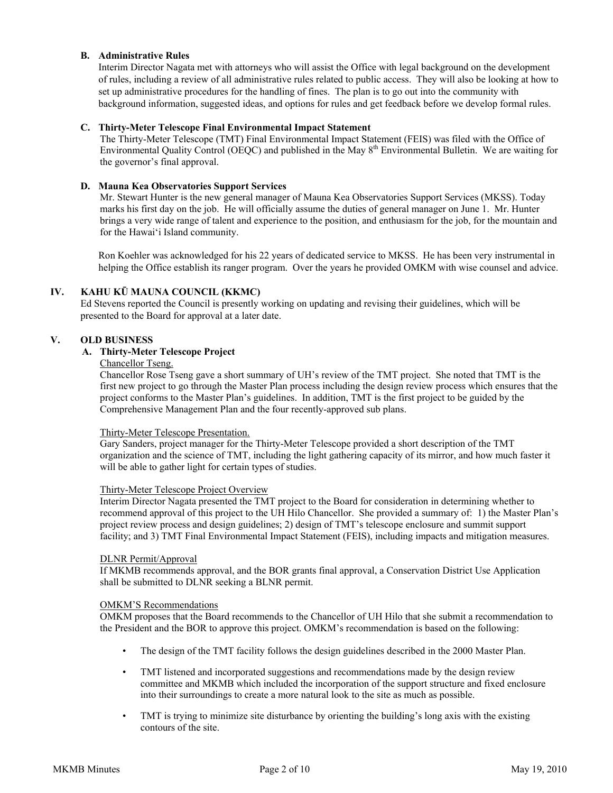### **B. Administrative Rules**

Interim Director Nagata met with attorneys who will assist the Office with legal background on the development of rules, including a review of all administrative rules related to public access. They will also be looking at how to set up administrative procedures for the handling of fines. The plan is to go out into the community with background information, suggested ideas, and options for rules and get feedback before we develop formal rules.

### **C. Thirty-Meter Telescope Final Environmental Impact Statement**

The Thirty-Meter Telescope (TMT) Final Environmental Impact Statement (FEIS) was filed with the Office of Environmental Quality Control (OEQC) and published in the May 8<sup>th</sup> Environmental Bulletin. We are waiting for the governor's final approval.

### **D. Mauna Kea Observatories Support Services**

Mr. Stewart Hunter is the new general manager of Mauna Kea Observatories Support Services (MKSS). Today marks his first day on the job. He will officially assume the duties of general manager on June 1. Mr. Hunter brings a very wide range of talent and experience to the position, and enthusiasm for the job, for the mountain and for the Hawaiʻi Island community.

Ron Koehler was acknowledged for his 22 years of dedicated service to MKSS. He has been very instrumental in helping the Office establish its ranger program. Over the years he provided OMKM with wise counsel and advice.

# **IV. KAHU KŪ MAUNA COUNCIL (KKMC)**

Ed Stevens reported the Council is presently working on updating and revising their guidelines, which will be presented to the Board for approval at a later date.

### **V. OLD BUSINESS**

# **A. Thirty-Meter Telescope Project**

# Chancellor Tseng.

Chancellor Rose Tseng gave a short summary of UH's review of the TMT project. She noted that TMT is the first new project to go through the Master Plan process including the design review process which ensures that the project conforms to the Master Plan's guidelines. In addition, TMT is the first project to be guided by the Comprehensive Management Plan and the four recently-approved sub plans.

### Thirty-Meter Telescope Presentation.

Gary Sanders, project manager for the Thirty-Meter Telescope provided a short description of the TMT organization and the science of TMT, including the light gathering capacity of its mirror, and how much faster it will be able to gather light for certain types of studies.

### Thirty-Meter Telescope Project Overview

Interim Director Nagata presented the TMT project to the Board for consideration in determining whether to recommend approval of this project to the UH Hilo Chancellor. She provided a summary of: 1) the Master Plan's project review process and design guidelines; 2) design of TMT's telescope enclosure and summit support facility; and 3) TMT Final Environmental Impact Statement (FEIS), including impacts and mitigation measures.

### DLNR Permit/Approval

If MKMB recommends approval, and the BOR grants final approval, a Conservation District Use Application shall be submitted to DLNR seeking a BLNR permit.

### OMKM'S Recommendations

OMKM proposes that the Board recommends to the Chancellor of UH Hilo that she submit a recommendation to the President and the BOR to approve this project. OMKM's recommendation is based on the following:

- The design of the TMT facility follows the design guidelines described in the 2000 Master Plan.
- TMT listened and incorporated suggestions and recommendations made by the design review committee and MKMB which included the incorporation of the support structure and fixed enclosure into their surroundings to create a more natural look to the site as much as possible.
- TMT is trying to minimize site disturbance by orienting the building's long axis with the existing contours of the site.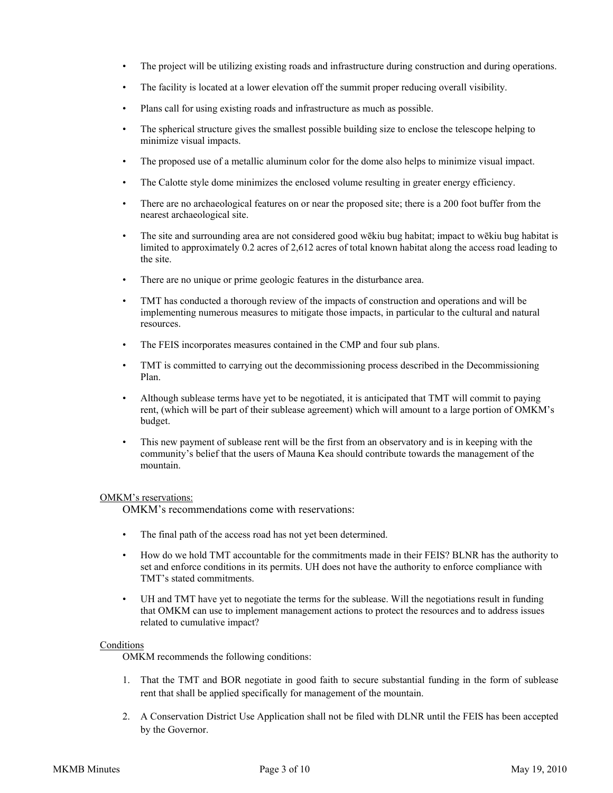- The project will be utilizing existing roads and infrastructure during construction and during operations.
- The facility is located at a lower elevation off the summit proper reducing overall visibility.
- Plans call for using existing roads and infrastructure as much as possible.
- The spherical structure gives the smallest possible building size to enclose the telescope helping to minimize visual impacts.
- The proposed use of a metallic aluminum color for the dome also helps to minimize visual impact.
- The Calotte style dome minimizes the enclosed volume resulting in greater energy efficiency.
- There are no archaeological features on or near the proposed site; there is a 200 foot buffer from the nearest archaeological site.
- The site and surrounding area are not considered good wēkiu bug habitat; impact to wēkiu bug habitat is limited to approximately 0.2 acres of 2,612 acres of total known habitat along the access road leading to the site.
- There are no unique or prime geologic features in the disturbance area.
- TMT has conducted a thorough review of the impacts of construction and operations and will be implementing numerous measures to mitigate those impacts, in particular to the cultural and natural resources.
- The FEIS incorporates measures contained in the CMP and four sub plans.
- TMT is committed to carrying out the decommissioning process described in the Decommissioning Plan.
- Although sublease terms have yet to be negotiated, it is anticipated that TMT will commit to paying rent, (which will be part of their sublease agreement) which will amount to a large portion of OMKM's budget.
- This new payment of sublease rent will be the first from an observatory and is in keeping with the community's belief that the users of Mauna Kea should contribute towards the management of the mountain.

#### OMKM's reservations:

OMKM's recommendations come with reservations:

- The final path of the access road has not yet been determined.
- How do we hold TMT accountable for the commitments made in their FEIS? BLNR has the authority to set and enforce conditions in its permits. UH does not have the authority to enforce compliance with TMT's stated commitments.
- UH and TMT have yet to negotiate the terms for the sublease. Will the negotiations result in funding that OMKM can use to implement management actions to protect the resources and to address issues related to cumulative impact?

### Conditions

OMKM recommends the following conditions:

- 1. That the TMT and BOR negotiate in good faith to secure substantial funding in the form of sublease rent that shall be applied specifically for management of the mountain.
- 2. A Conservation District Use Application shall not be filed with DLNR until the FEIS has been accepted by the Governor.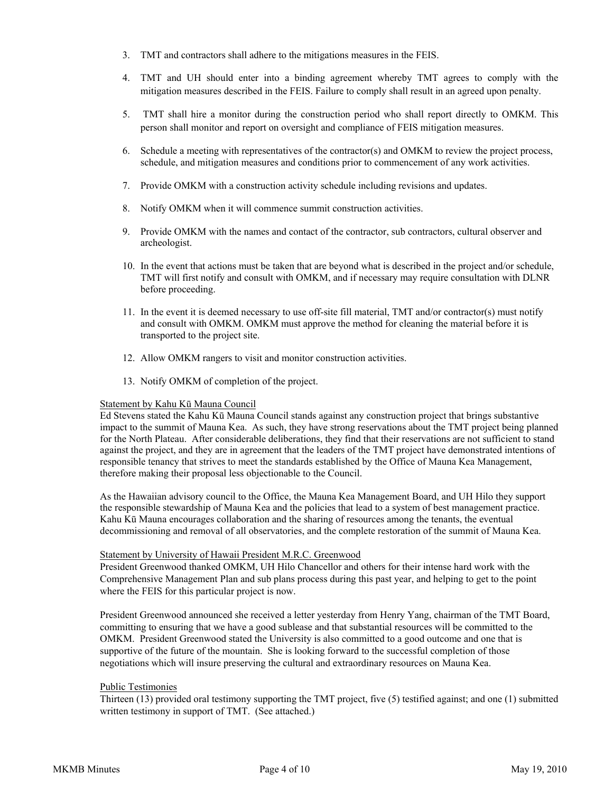- 3. TMT and contractors shall adhere to the mitigations measures in the FEIS.
- 4. TMT and UH should enter into a binding agreement whereby TMT agrees to comply with the mitigation measures described in the FEIS. Failure to comply shall result in an agreed upon penalty.
- 5. TMT shall hire a monitor during the construction period who shall report directly to OMKM. This person shall monitor and report on oversight and compliance of FEIS mitigation measures.
- 6. Schedule a meeting with representatives of the contractor(s) and OMKM to review the project process, schedule, and mitigation measures and conditions prior to commencement of any work activities.
- 7. Provide OMKM with a construction activity schedule including revisions and updates.
- 8. Notify OMKM when it will commence summit construction activities.
- 9. Provide OMKM with the names and contact of the contractor, sub contractors, cultural observer and archeologist.
- 10. In the event that actions must be taken that are beyond what is described in the project and/or schedule, TMT will first notify and consult with OMKM, and if necessary may require consultation with DLNR before proceeding.
- 11. In the event it is deemed necessary to use off-site fill material, TMT and/or contractor(s) must notify and consult with OMKM. OMKM must approve the method for cleaning the material before it is transported to the project site.
- 12. Allow OMKM rangers to visit and monitor construction activities.
- 13. Notify OMKM of completion of the project.

#### Statement by Kahu Kū Mauna Council

Ed Stevens stated the Kahu Kū Mauna Council stands against any construction project that brings substantive impact to the summit of Mauna Kea. As such, they have strong reservations about the TMT project being planned for the North Plateau. After considerable deliberations, they find that their reservations are not sufficient to stand against the project, and they are in agreement that the leaders of the TMT project have demonstrated intentions of responsible tenancy that strives to meet the standards established by the Office of Mauna Kea Management, therefore making their proposal less objectionable to the Council.

As the Hawaiian advisory council to the Office, the Mauna Kea Management Board, and UH Hilo they support the responsible stewardship of Mauna Kea and the policies that lead to a system of best management practice. Kahu Kū Mauna encourages collaboration and the sharing of resources among the tenants, the eventual decommissioning and removal of all observatories, and the complete restoration of the summit of Mauna Kea.

### Statement by University of Hawaii President M.R.C. Greenwood

President Greenwood thanked OMKM, UH Hilo Chancellor and others for their intense hard work with the Comprehensive Management Plan and sub plans process during this past year, and helping to get to the point where the FEIS for this particular project is now.

President Greenwood announced she received a letter yesterday from Henry Yang, chairman of the TMT Board, committing to ensuring that we have a good sublease and that substantial resources will be committed to the OMKM. President Greenwood stated the University is also committed to a good outcome and one that is supportive of the future of the mountain. She is looking forward to the successful completion of those negotiations which will insure preserving the cultural and extraordinary resources on Mauna Kea.

#### Public Testimonies

Thirteen (13) provided oral testimony supporting the TMT project, five (5) testified against; and one (1) submitted written testimony in support of TMT. (See attached.)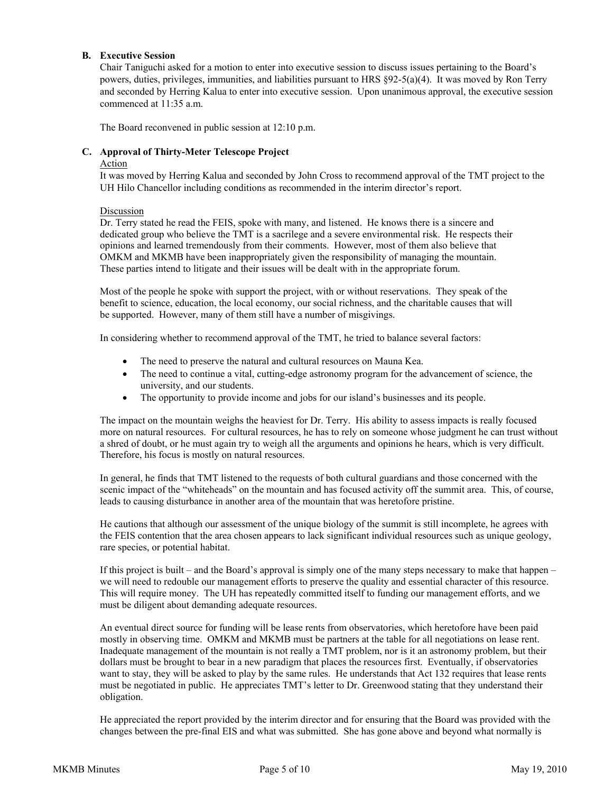### **B. Executive Session**

Chair Taniguchi asked for a motion to enter into executive session to discuss issues pertaining to the Board's powers, duties, privileges, immunities, and liabilities pursuant to HRS §92-5(a)(4). It was moved by Ron Terry and seconded by Herring Kalua to enter into executive session. Upon unanimous approval, the executive session commenced at 11:35 a.m.

The Board reconvened in public session at 12:10 p.m.

### **C. Approval of Thirty-Meter Telescope Project**

### Action

It was moved by Herring Kalua and seconded by John Cross to recommend approval of the TMT project to the UH Hilo Chancellor including conditions as recommended in the interim director's report.

#### Discussion

Dr. Terry stated he read the FEIS, spoke with many, and listened. He knows there is a sincere and dedicated group who believe the TMT is a sacrilege and a severe environmental risk. He respects their opinions and learned tremendously from their comments. However, most of them also believe that OMKM and MKMB have been inappropriately given the responsibility of managing the mountain. These parties intend to litigate and their issues will be dealt with in the appropriate forum.

Most of the people he spoke with support the project, with or without reservations. They speak of the benefit to science, education, the local economy, our social richness, and the charitable causes that will be supported. However, many of them still have a number of misgivings.

In considering whether to recommend approval of the TMT, he tried to balance several factors:

- The need to preserve the natural and cultural resources on Mauna Kea.
- The need to continue a vital, cutting-edge astronomy program for the advancement of science, the university, and our students.
- The opportunity to provide income and jobs for our island's businesses and its people.

The impact on the mountain weighs the heaviest for Dr. Terry. His ability to assess impacts is really focused more on natural resources. For cultural resources, he has to rely on someone whose judgment he can trust without a shred of doubt, or he must again try to weigh all the arguments and opinions he hears, which is very difficult. Therefore, his focus is mostly on natural resources.

In general, he finds that TMT listened to the requests of both cultural guardians and those concerned with the scenic impact of the "whiteheads" on the mountain and has focused activity off the summit area. This, of course, leads to causing disturbance in another area of the mountain that was heretofore pristine.

He cautions that although our assessment of the unique biology of the summit is still incomplete, he agrees with the FEIS contention that the area chosen appears to lack significant individual resources such as unique geology, rare species, or potential habitat.

If this project is built – and the Board's approval is simply one of the many steps necessary to make that happen – we will need to redouble our management efforts to preserve the quality and essential character of this resource. This will require money. The UH has repeatedly committed itself to funding our management efforts, and we must be diligent about demanding adequate resources.

An eventual direct source for funding will be lease rents from observatories, which heretofore have been paid mostly in observing time. OMKM and MKMB must be partners at the table for all negotiations on lease rent. Inadequate management of the mountain is not really a TMT problem, nor is it an astronomy problem, but their dollars must be brought to bear in a new paradigm that places the resources first. Eventually, if observatories want to stay, they will be asked to play by the same rules. He understands that Act 132 requires that lease rents must be negotiated in public. He appreciates TMT's letter to Dr. Greenwood stating that they understand their obligation.

He appreciated the report provided by the interim director and for ensuring that the Board was provided with the changes between the pre-final EIS and what was submitted. She has gone above and beyond what normally is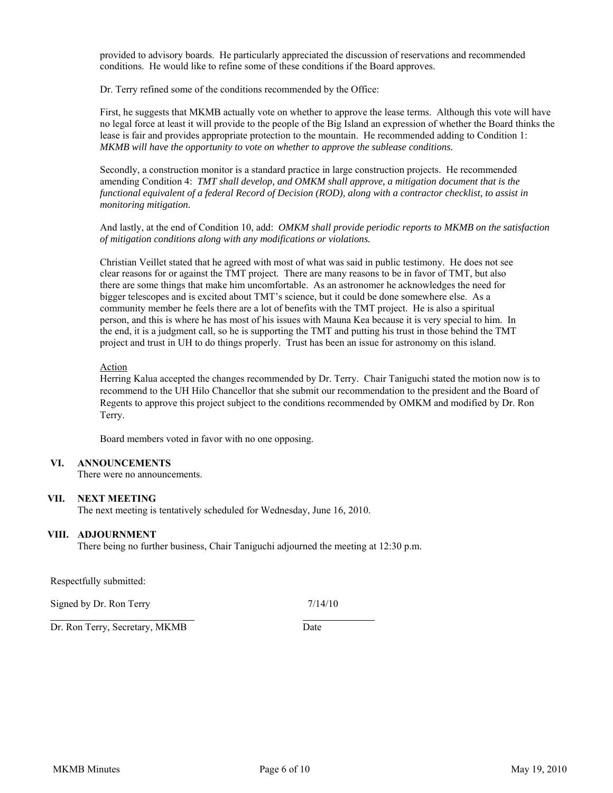provided to advisory boards. He particularly appreciated the discussion of reservations and recommended conditions. He would like to refine some of these conditions if the Board approves.

Dr. Terry refined some of the conditions recommended by the Office:

First, he suggests that MKMB actually vote on whether to approve the lease terms. Although this vote will have no legal force at least it will provide to the people of the Big Island an expression of whether the Board thinks the lease is fair and provides appropriate protection to the mountain. He recommended adding to Condition 1: *MKMB will have the opportunity to vote on whether to approve the sublease conditions.*

Secondly, a construction monitor is a standard practice in large construction projects. He recommended amending Condition 4: *TMT shall develop, and OMKM shall approve, a mitigation document that is the functional equivalent of a federal Record of Decision (ROD), along with a contractor checklist, to assist in monitoring mitigation.*

And lastly, at the end of Condition 10, add: *OMKM shall provide periodic reports to MKMB on the satisfaction of mitigation conditions along with any modifications or violations.*

Christian Veillet stated that he agreed with most of what was said in public testimony. He does not see clear reasons for or against the TMT project. There are many reasons to be in favor of TMT, but also there are some things that make him uncomfortable. As an astronomer he acknowledges the need for bigger telescopes and is excited about TMT's science, but it could be done somewhere else. As a community member he feels there are a lot of benefits with the TMT project. He is also a spiritual person, and this is where he has most of his issues with Mauna Kea because it is very special to him. In the end, it is a judgment call, so he is supporting the TMT and putting his trust in those behind the TMT project and trust in UH to do things properly. Trust has been an issue for astronomy on this island.

#### Action

Herring Kalua accepted the changes recommended by Dr. Terry. Chair Taniguchi stated the motion now is to recommend to the UH Hilo Chancellor that she submit our recommendation to the president and the Board of Regents to approve this project subject to the conditions recommended by OMKM and modified by Dr. Ron Terry.

Board members voted in favor with no one opposing.

### **VI. ANNOUNCEMENTS**

There were no announcements.

#### **VII. NEXT MEETING**

The next meeting is tentatively scheduled for Wednesday, June 16, 2010.

#### **VIII. ADJOURNMENT**

There being no further business, Chair Taniguchi adjourned the meeting at 12:30 p.m.

Respectfully submitted:

Signed by Dr. Ron Terry 7/14/10

Dr. Ron Terry, Secretary, MKMB Date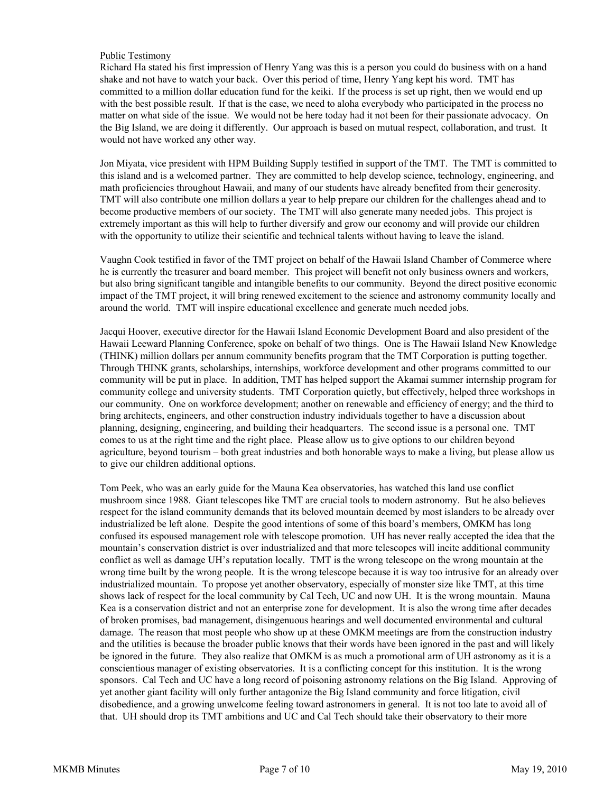### Public Testimony

Richard Ha stated his first impression of Henry Yang was this is a person you could do business with on a hand shake and not have to watch your back. Over this period of time, Henry Yang kept his word. TMT has committed to a million dollar education fund for the keiki. If the process is set up right, then we would end up with the best possible result. If that is the case, we need to aloha everybody who participated in the process no matter on what side of the issue. We would not be here today had it not been for their passionate advocacy. On the Big Island, we are doing it differently. Our approach is based on mutual respect, collaboration, and trust. It would not have worked any other way.

Jon Miyata, vice president with HPM Building Supply testified in support of the TMT. The TMT is committed to this island and is a welcomed partner. They are committed to help develop science, technology, engineering, and math proficiencies throughout Hawaii, and many of our students have already benefited from their generosity. TMT will also contribute one million dollars a year to help prepare our children for the challenges ahead and to become productive members of our society. The TMT will also generate many needed jobs. This project is extremely important as this will help to further diversify and grow our economy and will provide our children with the opportunity to utilize their scientific and technical talents without having to leave the island.

Vaughn Cook testified in favor of the TMT project on behalf of the Hawaii Island Chamber of Commerce where he is currently the treasurer and board member. This project will benefit not only business owners and workers, but also bring significant tangible and intangible benefits to our community. Beyond the direct positive economic impact of the TMT project, it will bring renewed excitement to the science and astronomy community locally and around the world. TMT will inspire educational excellence and generate much needed jobs.

Jacqui Hoover, executive director for the Hawaii Island Economic Development Board and also president of the Hawaii Leeward Planning Conference, spoke on behalf of two things. One is The Hawaii Island New Knowledge (THINK) million dollars per annum community benefits program that the TMT Corporation is putting together. Through THINK grants, scholarships, internships, workforce development and other programs committed to our community will be put in place. In addition, TMT has helped support the Akamai summer internship program for community college and university students. TMT Corporation quietly, but effectively, helped three workshops in our community. One on workforce development; another on renewable and efficiency of energy; and the third to bring architects, engineers, and other construction industry individuals together to have a discussion about planning, designing, engineering, and building their headquarters. The second issue is a personal one. TMT comes to us at the right time and the right place. Please allow us to give options to our children beyond agriculture, beyond tourism – both great industries and both honorable ways to make a living, but please allow us to give our children additional options.

Tom Peek, who was an early guide for the Mauna Kea observatories, has watched this land use conflict mushroom since 1988. Giant telescopes like TMT are crucial tools to modern astronomy. But he also believes respect for the island community demands that its beloved mountain deemed by most islanders to be already over industrialized be left alone. Despite the good intentions of some of this board's members, OMKM has long confused its espoused management role with telescope promotion. UH has never really accepted the idea that the mountain's conservation district is over industrialized and that more telescopes will incite additional community conflict as well as damage UH's reputation locally. TMT is the wrong telescope on the wrong mountain at the wrong time built by the wrong people. It is the wrong telescope because it is way too intrusive for an already over industrialized mountain. To propose yet another observatory, especially of monster size like TMT, at this time shows lack of respect for the local community by Cal Tech, UC and now UH. It is the wrong mountain. Mauna Kea is a conservation district and not an enterprise zone for development. It is also the wrong time after decades of broken promises, bad management, disingenuous hearings and well documented environmental and cultural damage. The reason that most people who show up at these OMKM meetings are from the construction industry and the utilities is because the broader public knows that their words have been ignored in the past and will likely be ignored in the future. They also realize that OMKM is as much a promotional arm of UH astronomy as it is a conscientious manager of existing observatories. It is a conflicting concept for this institution. It is the wrong sponsors. Cal Tech and UC have a long record of poisoning astronomy relations on the Big Island. Approving of yet another giant facility will only further antagonize the Big Island community and force litigation, civil disobedience, and a growing unwelcome feeling toward astronomers in general. It is not too late to avoid all of that. UH should drop its TMT ambitions and UC and Cal Tech should take their observatory to their more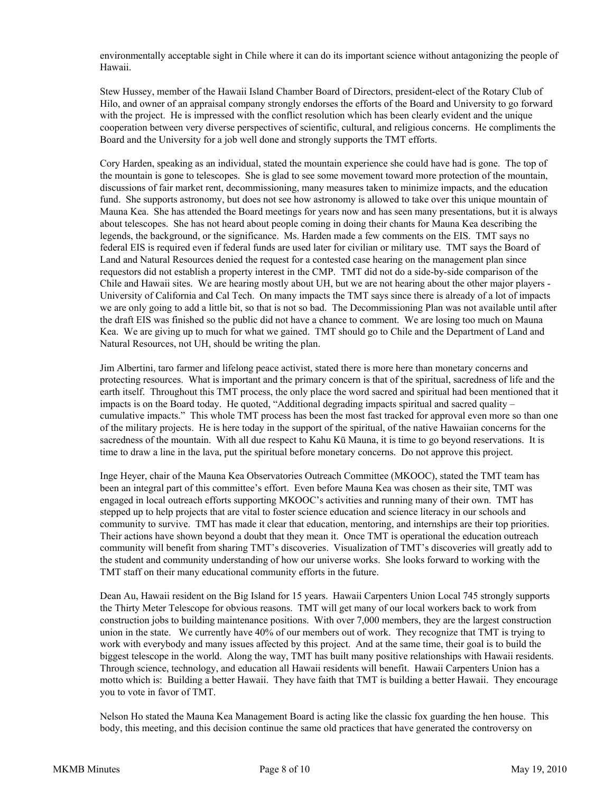environmentally acceptable sight in Chile where it can do its important science without antagonizing the people of Hawaii.

Stew Hussey, member of the Hawaii Island Chamber Board of Directors, president-elect of the Rotary Club of Hilo, and owner of an appraisal company strongly endorses the efforts of the Board and University to go forward with the project. He is impressed with the conflict resolution which has been clearly evident and the unique cooperation between very diverse perspectives of scientific, cultural, and religious concerns. He compliments the Board and the University for a job well done and strongly supports the TMT efforts.

Cory Harden, speaking as an individual, stated the mountain experience she could have had is gone. The top of the mountain is gone to telescopes. She is glad to see some movement toward more protection of the mountain, discussions of fair market rent, decommissioning, many measures taken to minimize impacts, and the education fund. She supports astronomy, but does not see how astronomy is allowed to take over this unique mountain of Mauna Kea. She has attended the Board meetings for years now and has seen many presentations, but it is always about telescopes. She has not heard about people coming in doing their chants for Mauna Kea describing the legends, the background, or the significance. Ms. Harden made a few comments on the EIS. TMT says no federal EIS is required even if federal funds are used later for civilian or military use. TMT says the Board of Land and Natural Resources denied the request for a contested case hearing on the management plan since requestors did not establish a property interest in the CMP. TMT did not do a side-by-side comparison of the Chile and Hawaii sites. We are hearing mostly about UH, but we are not hearing about the other major players - University of California and Cal Tech. On many impacts the TMT says since there is already of a lot of impacts we are only going to add a little bit, so that is not so bad. The Decommissioning Plan was not available until after the draft EIS was finished so the public did not have a chance to comment. We are losing too much on Mauna Kea. We are giving up to much for what we gained. TMT should go to Chile and the Department of Land and Natural Resources, not UH, should be writing the plan.

Jim Albertini, taro farmer and lifelong peace activist, stated there is more here than monetary concerns and protecting resources. What is important and the primary concern is that of the spiritual, sacredness of life and the earth itself. Throughout this TMT process, the only place the word sacred and spiritual had been mentioned that it impacts is on the Board today. He quoted, "Additional degrading impacts spiritual and sacred quality – cumulative impacts." This whole TMT process has been the most fast tracked for approval even more so than one of the military projects. He is here today in the support of the spiritual, of the native Hawaiian concerns for the sacredness of the mountain. With all due respect to Kahu Kū Mauna, it is time to go beyond reservations. It is time to draw a line in the lava, put the spiritual before monetary concerns. Do not approve this project.

Inge Heyer, chair of the Mauna Kea Observatories Outreach Committee (MKOOC), stated the TMT team has been an integral part of this committee's effort. Even before Mauna Kea was chosen as their site, TMT was engaged in local outreach efforts supporting MKOOC's activities and running many of their own. TMT has stepped up to help projects that are vital to foster science education and science literacy in our schools and community to survive. TMT has made it clear that education, mentoring, and internships are their top priorities. Their actions have shown beyond a doubt that they mean it. Once TMT is operational the education outreach community will benefit from sharing TMT's discoveries. Visualization of TMT's discoveries will greatly add to the student and community understanding of how our universe works. She looks forward to working with the TMT staff on their many educational community efforts in the future.

Dean Au, Hawaii resident on the Big Island for 15 years. Hawaii Carpenters Union Local 745 strongly supports the Thirty Meter Telescope for obvious reasons. TMT will get many of our local workers back to work from construction jobs to building maintenance positions. With over 7,000 members, they are the largest construction union in the state. We currently have 40% of our members out of work. They recognize that TMT is trying to work with everybody and many issues affected by this project. And at the same time, their goal is to build the biggest telescope in the world. Along the way, TMT has built many positive relationships with Hawaii residents. Through science, technology, and education all Hawaii residents will benefit. Hawaii Carpenters Union has a motto which is: Building a better Hawaii. They have faith that TMT is building a better Hawaii. They encourage you to vote in favor of TMT.

Nelson Ho stated the Mauna Kea Management Board is acting like the classic fox guarding the hen house. This body, this meeting, and this decision continue the same old practices that have generated the controversy on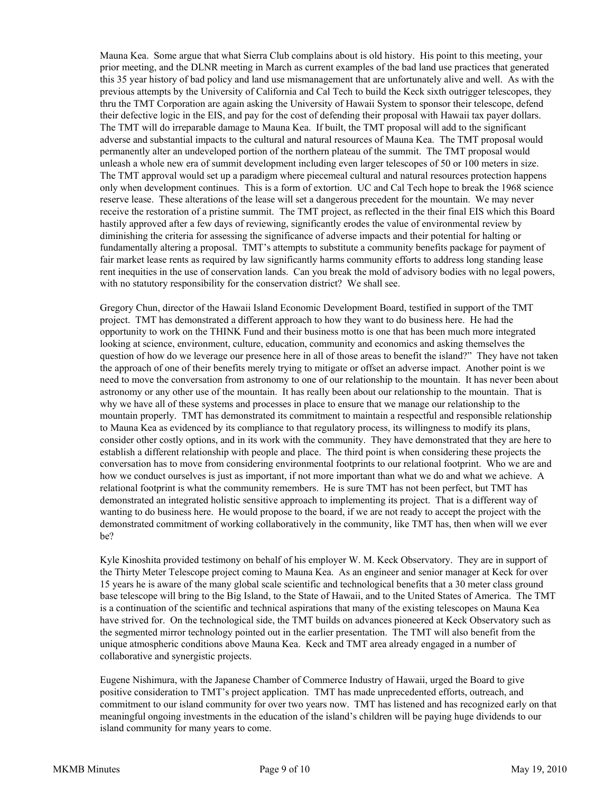Mauna Kea. Some argue that what Sierra Club complains about is old history. His point to this meeting, your prior meeting, and the DLNR meeting in March as current examples of the bad land use practices that generated this 35 year history of bad policy and land use mismanagement that are unfortunately alive and well. As with the previous attempts by the University of California and Cal Tech to build the Keck sixth outrigger telescopes, they thru the TMT Corporation are again asking the University of Hawaii System to sponsor their telescope, defend their defective logic in the EIS, and pay for the cost of defending their proposal with Hawaii tax payer dollars. The TMT will do irreparable damage to Mauna Kea. If built, the TMT proposal will add to the significant adverse and substantial impacts to the cultural and natural resources of Mauna Kea. The TMT proposal would permanently alter an undeveloped portion of the northern plateau of the summit. The TMT proposal would unleash a whole new era of summit development including even larger telescopes of 50 or 100 meters in size. The TMT approval would set up a paradigm where piecemeal cultural and natural resources protection happens only when development continues. This is a form of extortion. UC and Cal Tech hope to break the 1968 science reserve lease. These alterations of the lease will set a dangerous precedent for the mountain. We may never receive the restoration of a pristine summit. The TMT project, as reflected in the their final EIS which this Board hastily approved after a few days of reviewing, significantly erodes the value of environmental review by diminishing the criteria for assessing the significance of adverse impacts and their potential for halting or fundamentally altering a proposal. TMT's attempts to substitute a community benefits package for payment of fair market lease rents as required by law significantly harms community efforts to address long standing lease rent inequities in the use of conservation lands. Can you break the mold of advisory bodies with no legal powers, with no statutory responsibility for the conservation district? We shall see.

Gregory Chun, director of the Hawaii Island Economic Development Board, testified in support of the TMT project. TMT has demonstrated a different approach to how they want to do business here. He had the opportunity to work on the THINK Fund and their business motto is one that has been much more integrated looking at science, environment, culture, education, community and economics and asking themselves the question of how do we leverage our presence here in all of those areas to benefit the island?" They have not taken the approach of one of their benefits merely trying to mitigate or offset an adverse impact. Another point is we need to move the conversation from astronomy to one of our relationship to the mountain. It has never been about astronomy or any other use of the mountain. It has really been about our relationship to the mountain. That is why we have all of these systems and processes in place to ensure that we manage our relationship to the mountain properly. TMT has demonstrated its commitment to maintain a respectful and responsible relationship to Mauna Kea as evidenced by its compliance to that regulatory process, its willingness to modify its plans, consider other costly options, and in its work with the community. They have demonstrated that they are here to establish a different relationship with people and place. The third point is when considering these projects the conversation has to move from considering environmental footprints to our relational footprint. Who we are and how we conduct ourselves is just as important, if not more important than what we do and what we achieve. A relational footprint is what the community remembers. He is sure TMT has not been perfect, but TMT has demonstrated an integrated holistic sensitive approach to implementing its project. That is a different way of wanting to do business here. He would propose to the board, if we are not ready to accept the project with the demonstrated commitment of working collaboratively in the community, like TMT has, then when will we ever be?

Kyle Kinoshita provided testimony on behalf of his employer W. M. Keck Observatory. They are in support of the Thirty Meter Telescope project coming to Mauna Kea. As an engineer and senior manager at Keck for over 15 years he is aware of the many global scale scientific and technological benefits that a 30 meter class ground base telescope will bring to the Big Island, to the State of Hawaii, and to the United States of America. The TMT is a continuation of the scientific and technical aspirations that many of the existing telescopes on Mauna Kea have strived for. On the technological side, the TMT builds on advances pioneered at Keck Observatory such as the segmented mirror technology pointed out in the earlier presentation. The TMT will also benefit from the unique atmospheric conditions above Mauna Kea. Keck and TMT area already engaged in a number of collaborative and synergistic projects.

Eugene Nishimura, with the Japanese Chamber of Commerce Industry of Hawaii, urged the Board to give positive consideration to TMT's project application. TMT has made unprecedented efforts, outreach, and commitment to our island community for over two years now. TMT has listened and has recognized early on that meaningful ongoing investments in the education of the island's children will be paying huge dividends to our island community for many years to come.